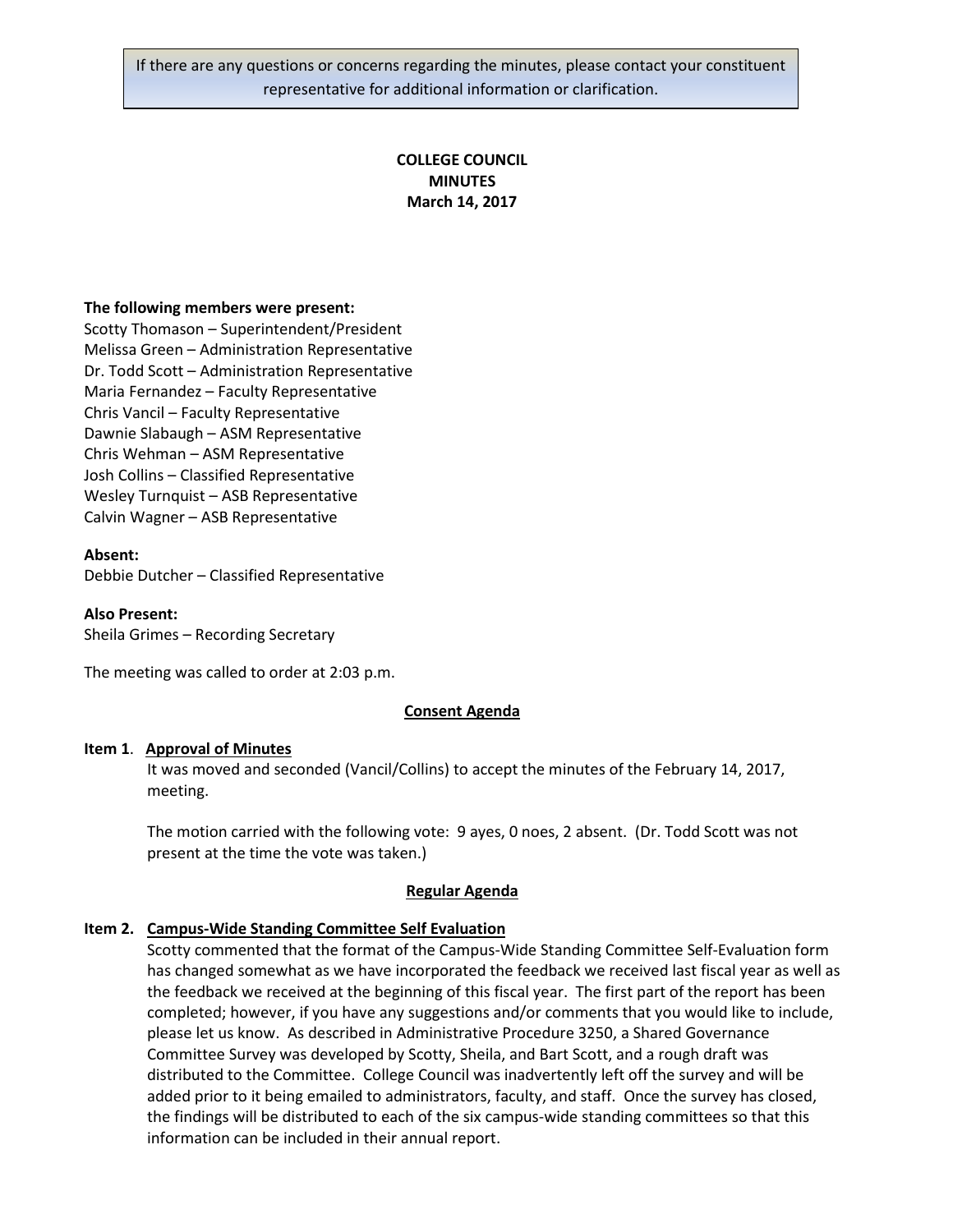If there are any questions or concerns regarding the minutes, please contact your constituent representative for additional information or clarification.

# **COLLEGE COUNCIL MINUTES March 14, 2017**

#### **The following members were present:**

Scotty Thomason – Superintendent/President Melissa Green – Administration Representative Dr. Todd Scott – Administration Representative Maria Fernandez – Faculty Representative Chris Vancil – Faculty Representative Dawnie Slabaugh – ASM Representative Chris Wehman – ASM Representative Josh Collins – Classified Representative Wesley Turnquist – ASB Representative Calvin Wagner – ASB Representative

#### **Absent:**

Debbie Dutcher – Classified Representative

#### **Also Present:**

Sheila Grimes – Recording Secretary

The meeting was called to order at 2:03 p.m.

#### **Consent Agenda**

#### **Item 1**. **Approval of Minutes**

It was moved and seconded (Vancil/Collins) to accept the minutes of the February 14, 2017, meeting.

The motion carried with the following vote: 9 ayes, 0 noes, 2 absent. (Dr. Todd Scott was not present at the time the vote was taken.)

#### **Regular Agenda**

### **Item 2. Campus-Wide Standing Committee Self Evaluation**

Scotty commented that the format of the Campus-Wide Standing Committee Self-Evaluation form has changed somewhat as we have incorporated the feedback we received last fiscal year as well as the feedback we received at the beginning of this fiscal year. The first part of the report has been completed; however, if you have any suggestions and/or comments that you would like to include, please let us know. As described in Administrative Procedure 3250, a Shared Governance Committee Survey was developed by Scotty, Sheila, and Bart Scott, and a rough draft was distributed to the Committee. College Council was inadvertently left off the survey and will be added prior to it being emailed to administrators, faculty, and staff. Once the survey has closed, the findings will be distributed to each of the six campus-wide standing committees so that this information can be included in their annual report.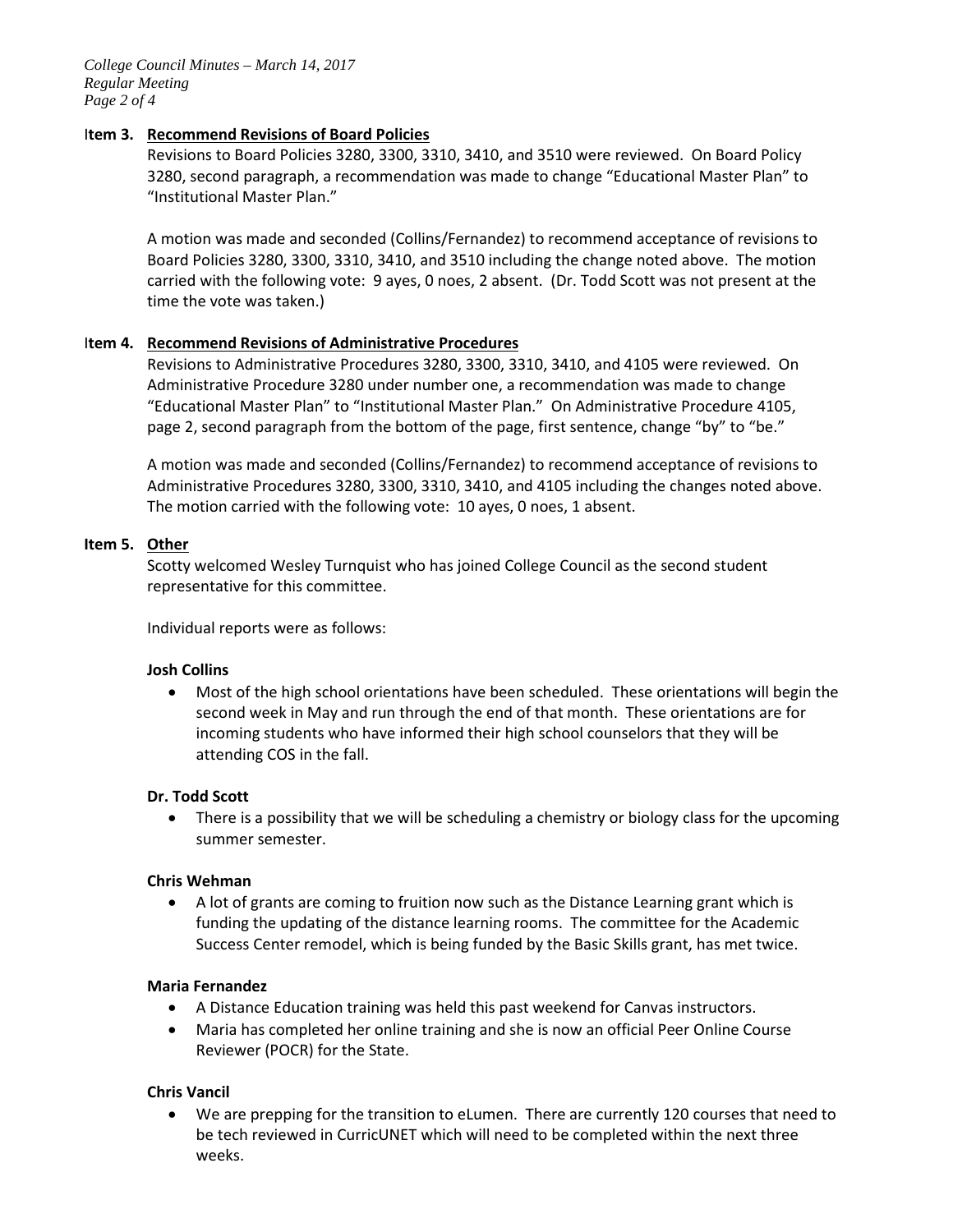*College Council Minutes – March 14, 2017 Regular Meeting Page 2 of 4*

### I**tem 3. Recommend Revisions of Board Policies**

Revisions to Board Policies 3280, 3300, 3310, 3410, and 3510 were reviewed. On Board Policy 3280, second paragraph, a recommendation was made to change "Educational Master Plan" to "Institutional Master Plan."

A motion was made and seconded (Collins/Fernandez) to recommend acceptance of revisions to Board Policies 3280, 3300, 3310, 3410, and 3510 including the change noted above. The motion carried with the following vote: 9 ayes, 0 noes, 2 absent. (Dr. Todd Scott was not present at the time the vote was taken.)

### I**tem 4. Recommend Revisions of Administrative Procedures**

Revisions to Administrative Procedures 3280, 3300, 3310, 3410, and 4105 were reviewed. On Administrative Procedure 3280 under number one, a recommendation was made to change "Educational Master Plan" to "Institutional Master Plan." On Administrative Procedure 4105, page 2, second paragraph from the bottom of the page, first sentence, change "by" to "be."

A motion was made and seconded (Collins/Fernandez) to recommend acceptance of revisions to Administrative Procedures 3280, 3300, 3310, 3410, and 4105 including the changes noted above. The motion carried with the following vote: 10 ayes, 0 noes, 1 absent.

### **Item 5. Other**

Scotty welcomed Wesley Turnquist who has joined College Council as the second student representative for this committee.

Individual reports were as follows:

### **Josh Collins**

• Most of the high school orientations have been scheduled. These orientations will begin the second week in May and run through the end of that month. These orientations are for incoming students who have informed their high school counselors that they will be attending COS in the fall.

### **Dr. Todd Scott**

• There is a possibility that we will be scheduling a chemistry or biology class for the upcoming summer semester.

### **Chris Wehman**

• A lot of grants are coming to fruition now such as the Distance Learning grant which is funding the updating of the distance learning rooms. The committee for the Academic Success Center remodel, which is being funded by the Basic Skills grant, has met twice.

### **Maria Fernandez**

- A Distance Education training was held this past weekend for Canvas instructors.
- Maria has completed her online training and she is now an official Peer Online Course Reviewer (POCR) for the State.

## **Chris Vancil**

• We are prepping for the transition to eLumen. There are currently 120 courses that need to be tech reviewed in CurricUNET which will need to be completed within the next three weeks.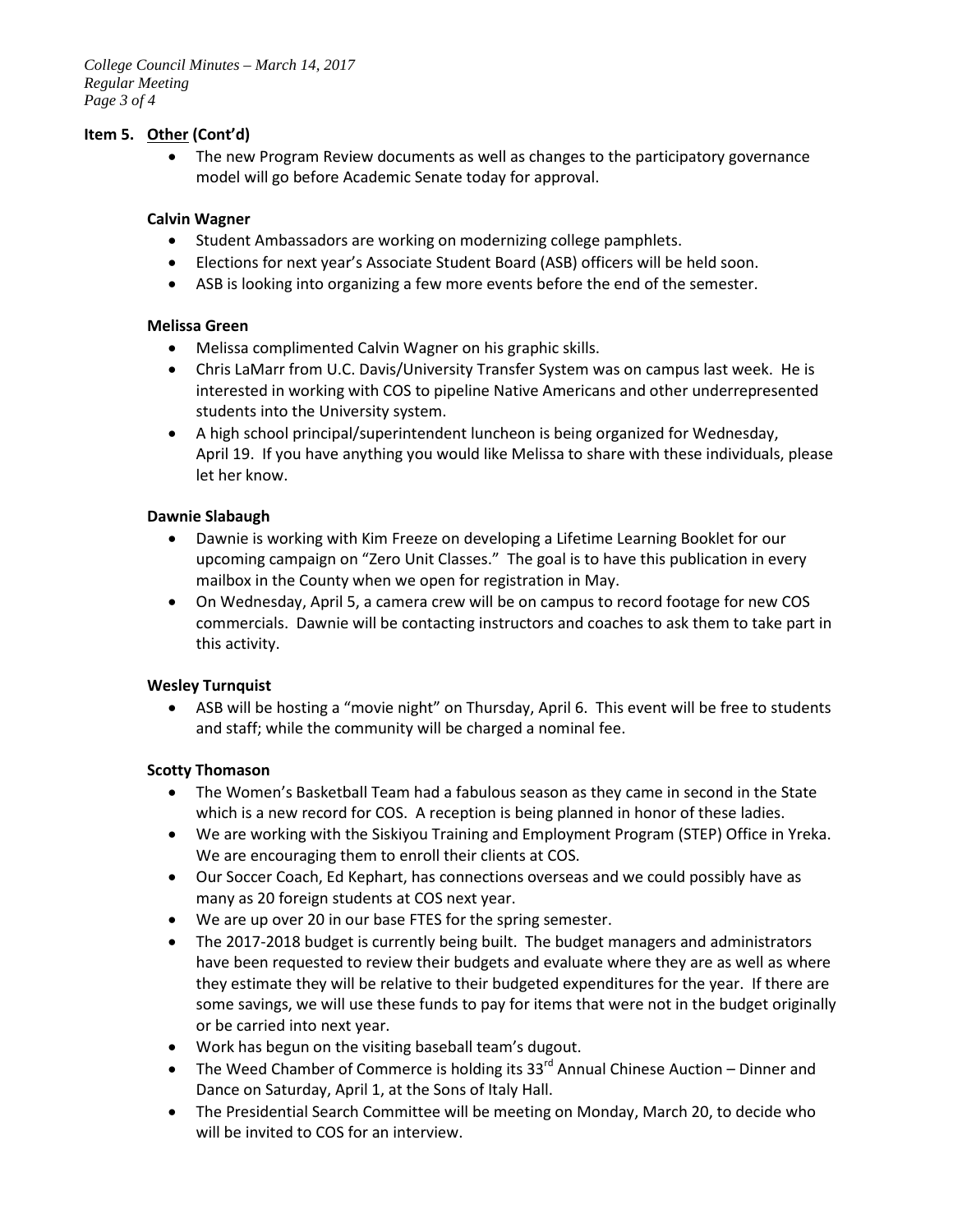## **Item 5. Other (Cont'd)**

• The new Program Review documents as well as changes to the participatory governance model will go before Academic Senate today for approval.

## **Calvin Wagner**

- Student Ambassadors are working on modernizing college pamphlets.
- Elections for next year's Associate Student Board (ASB) officers will be held soon.
- ASB is looking into organizing a few more events before the end of the semester.

## **Melissa Green**

- Melissa complimented Calvin Wagner on his graphic skills.
- Chris LaMarr from U.C. Davis/University Transfer System was on campus last week. He is interested in working with COS to pipeline Native Americans and other underrepresented students into the University system.
- A high school principal/superintendent luncheon is being organized for Wednesday, April 19. If you have anything you would like Melissa to share with these individuals, please let her know.

## **Dawnie Slabaugh**

- Dawnie is working with Kim Freeze on developing a Lifetime Learning Booklet for our upcoming campaign on "Zero Unit Classes." The goal is to have this publication in every mailbox in the County when we open for registration in May.
- On Wednesday, April 5, a camera crew will be on campus to record footage for new COS commercials. Dawnie will be contacting instructors and coaches to ask them to take part in this activity.

# **Wesley Turnquist**

• ASB will be hosting a "movie night" on Thursday, April 6. This event will be free to students and staff; while the community will be charged a nominal fee.

## **Scotty Thomason**

- The Women's Basketball Team had a fabulous season as they came in second in the State which is a new record for COS. A reception is being planned in honor of these ladies.
- We are working with the Siskiyou Training and Employment Program (STEP) Office in Yreka. We are encouraging them to enroll their clients at COS.
- Our Soccer Coach, Ed Kephart, has connections overseas and we could possibly have as many as 20 foreign students at COS next year.
- We are up over 20 in our base FTES for the spring semester.
- The 2017-2018 budget is currently being built. The budget managers and administrators have been requested to review their budgets and evaluate where they are as well as where they estimate they will be relative to their budgeted expenditures for the year. If there are some savings, we will use these funds to pay for items that were not in the budget originally or be carried into next year.
- Work has begun on the visiting baseball team's dugout.
- The Weed Chamber of Commerce is holding its  $33<sup>rd</sup>$  Annual Chinese Auction Dinner and Dance on Saturday, April 1, at the Sons of Italy Hall.
- The Presidential Search Committee will be meeting on Monday, March 20, to decide who will be invited to COS for an interview.